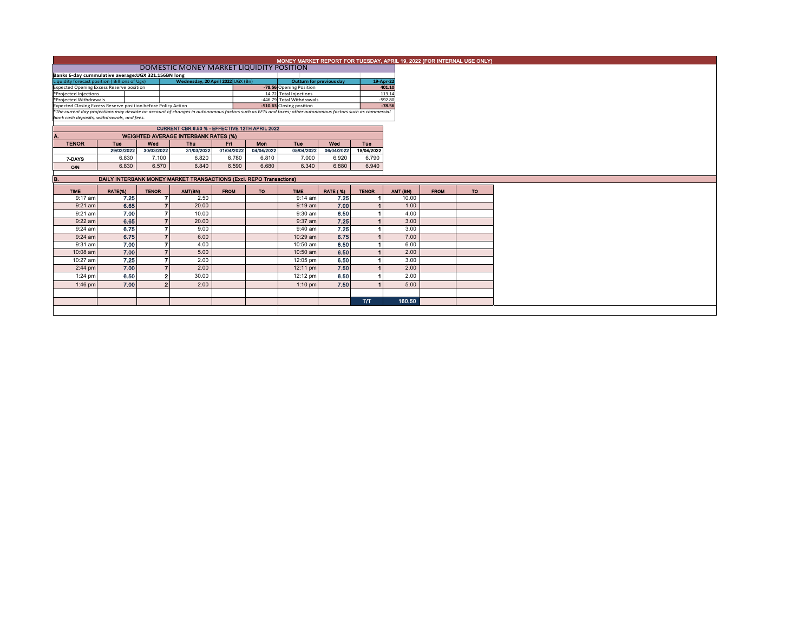| MONEY MARKET REPORT FOR TUESDAY, APRIL 19, 2022 (FOR INTERNAL USE ONLY) |            |                |                                                                                                                                                          |             |                                       |                           |                 |              |                       |             |           |
|-------------------------------------------------------------------------|------------|----------------|----------------------------------------------------------------------------------------------------------------------------------------------------------|-------------|---------------------------------------|---------------------------|-----------------|--------------|-----------------------|-------------|-----------|
| DOMESTIC MONEY MARKET LIQUIDITY POSITION                                |            |                |                                                                                                                                                          |             |                                       |                           |                 |              |                       |             |           |
| Banks 6-day cummulative average: UGX 321.156BN long                     |            |                |                                                                                                                                                          |             |                                       |                           |                 |              |                       |             |           |
| Liquidity forecast position (Billions of Ugx)                           |            |                | Wednesday, 20 April 2022 UGX (Bn)                                                                                                                        |             | 19-Apr-22<br>Outturn for previous day |                           |                 |              |                       |             |           |
| <b>Expected Opening Excess Reserve position</b>                         |            |                |                                                                                                                                                          |             |                                       | -78.56 Opening Position   |                 |              | 401.10                |             |           |
| *Projected Injections                                                   |            |                |                                                                                                                                                          |             |                                       | 14.72 Total Injections    |                 |              | 113.14                |             |           |
| *Projected Withdrawals                                                  |            |                |                                                                                                                                                          |             |                                       | -446.79 Total Withdrawals |                 |              | $-592.80$<br>$-78.56$ |             |           |
| Expected Closing Excess Reserve position before Policy Action           |            |                | *The current day projections may deviate on account of changes in autonomous factors such as EFTs and taxes; other autonomous factors such as commercial |             |                                       | -510.63 Closing position  |                 |              |                       |             |           |
| bank cash deposits, withdrawals, and fees.                              |            |                |                                                                                                                                                          |             |                                       |                           |                 |              |                       |             |           |
|                                                                         |            |                |                                                                                                                                                          |             |                                       |                           |                 |              |                       |             |           |
|                                                                         |            |                | CURRENT CBR 6.50 % - EFFECTIVE 12TH APRIL 2022                                                                                                           |             |                                       |                           |                 |              |                       |             |           |
|                                                                         |            |                | <b>WEIGHTED AVERAGE INTERBANK RATES (%)</b>                                                                                                              |             |                                       |                           |                 |              |                       |             |           |
| <b>TENOR</b>                                                            | <b>Tue</b> | Wed            | <b>Thu</b>                                                                                                                                               | Ed.         | Mon                                   | <b>Tue</b>                | Wed             | Tue          |                       |             |           |
|                                                                         | 29/03/2022 | 30/03/2022     | 31/03/2022                                                                                                                                               | 01/04/2022  | 04/04/2022                            | 05/04/2022                | 06/04/2022      | 19/04/2022   |                       |             |           |
| 7-DAYS                                                                  | 6.830      | 7.100          | 6.820                                                                                                                                                    | 6.780       | 6.810                                 | 7.000                     | 6.920           | 6.790        |                       |             |           |
| O/N                                                                     | 6.830      | 6.570          | 6.840                                                                                                                                                    | 6.590       | 6.680                                 | 6.340                     | 6.880           | 6.940        |                       |             |           |
|                                                                         |            |                |                                                                                                                                                          |             |                                       |                           |                 |              |                       |             |           |
| <b>B.</b>                                                               |            |                | <b>DAILY INTERBANK MONEY MARKET TRANSACTIONS (Excl. REPO Transactions)</b>                                                                               |             |                                       |                           |                 |              |                       |             |           |
| <b>TIME</b>                                                             | RATE(%)    | <b>TENOR</b>   | AMT(BN)                                                                                                                                                  | <b>FROM</b> | <b>TO</b>                             | <b>TIME</b>               | <b>RATE (%)</b> | <b>TENOR</b> | AMT (BN)              | <b>FROM</b> | <b>TO</b> |
|                                                                         |            |                |                                                                                                                                                          |             |                                       |                           |                 |              |                       |             |           |
| 9:17 am                                                                 | 7.25       |                | 2.50                                                                                                                                                     |             |                                       | $9:14$ am                 | 7.25            |              | 10.00                 |             |           |
| $9:21$ am                                                               | 6.65       |                | 20.00                                                                                                                                                    |             |                                       | $9:19$ am                 | 7.00            |              | 1.00                  |             |           |
| 9:21 am                                                                 | 7.00       |                | 10.00                                                                                                                                                    |             |                                       | $9:30$ am                 | 6.50            |              | 4.00                  |             |           |
| $9:22$ am                                                               | 6.65       |                | 20.00                                                                                                                                                    |             |                                       | 9:37 am                   | 7.25            |              | 3.00                  |             |           |
| $9:24$ am                                                               | 6.75       |                | 9.00                                                                                                                                                     |             |                                       | 9:40 am                   | 7.25            |              | 3.00                  |             |           |
| $9:24$ am                                                               | 6.75       |                | 6.00                                                                                                                                                     |             |                                       | 10:29 am                  | 6.75            |              | 7.00                  |             |           |
| 9:31 am                                                                 | 7.00       |                | 4.00                                                                                                                                                     |             |                                       | 10:50 am                  | 6.50            |              | 6.00                  |             |           |
| 10:08 am                                                                | 7.00       |                | 5.00                                                                                                                                                     |             |                                       | 10:50 am                  | 6.50            |              | 2.00                  |             |           |
| 10:27 am                                                                | 7.25       |                | 2.00                                                                                                                                                     |             |                                       | 12:05 pm                  | 6.50            |              | 3.00                  |             |           |
| $2:44$ pm                                                               | 7.00       |                | 2.00                                                                                                                                                     |             |                                       | 12:11 pm                  | 7.50            |              | 2.00                  |             |           |
| $1:24$ pm                                                               | 6.50       | $\overline{2}$ | 30.00                                                                                                                                                    |             |                                       | 12:12 pm                  | 6.50            |              | 2.00                  |             |           |
| 1:46 pm                                                                 | 7.00       | o              | 2.00                                                                                                                                                     |             |                                       | $1:10$ pm                 | 7.50            |              | 5.00                  |             |           |
|                                                                         |            |                |                                                                                                                                                          |             |                                       |                           |                 |              |                       |             |           |
|                                                                         |            |                |                                                                                                                                                          |             |                                       |                           |                 | <b>T/T</b>   | 160.50                |             |           |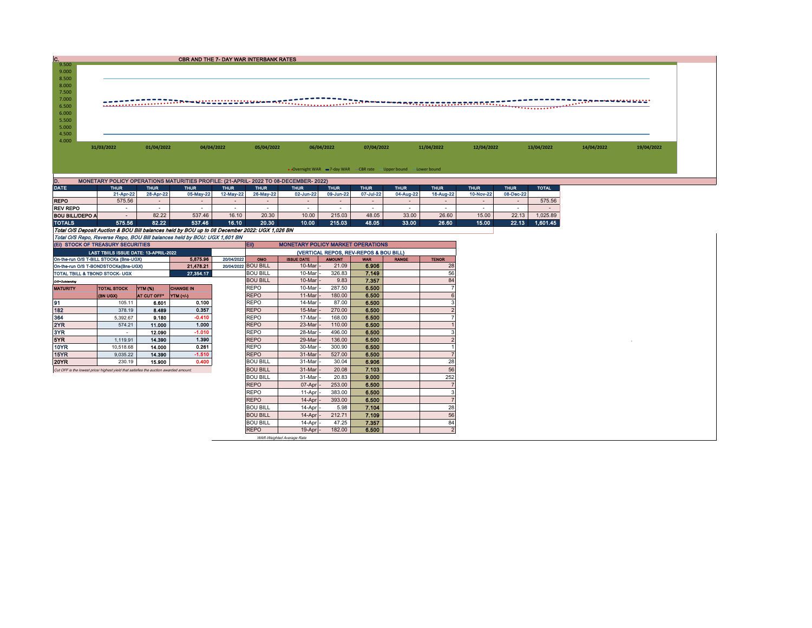| c.                                 |                                                                                                                                                                             |                  | CBR AND THE 7- DAY WAR INTERBANK RATES |                     |                                    |                                          |                  |                                                                   |              |                                  |             |             |              |            |            |
|------------------------------------|-----------------------------------------------------------------------------------------------------------------------------------------------------------------------------|------------------|----------------------------------------|---------------------|------------------------------------|------------------------------------------|------------------|-------------------------------------------------------------------|--------------|----------------------------------|-------------|-------------|--------------|------------|------------|
| 9.500<br>9.000<br>8.500<br>8.000   |                                                                                                                                                                             |                  |                                        |                     |                                    |                                          |                  |                                                                   |              |                                  |             |             |              |            |            |
| 7.500                              |                                                                                                                                                                             |                  |                                        |                     |                                    |                                          |                  |                                                                   |              |                                  |             |             |              |            |            |
| 7.000<br>6.500                     |                                                                                                                                                                             |                  |                                        |                     |                                    |                                          |                  |                                                                   |              |                                  |             |             |              |            |            |
| 6.000                              |                                                                                                                                                                             |                  |                                        |                     |                                    |                                          |                  |                                                                   |              |                                  |             |             |              |            |            |
| 5.500                              |                                                                                                                                                                             |                  |                                        |                     |                                    |                                          |                  |                                                                   |              |                                  |             |             |              |            |            |
| 5.000<br>4.500                     |                                                                                                                                                                             |                  |                                        |                     |                                    |                                          |                  |                                                                   |              |                                  |             |             |              |            |            |
| 4.000                              |                                                                                                                                                                             |                  |                                        |                     |                                    |                                          |                  |                                                                   |              |                                  |             |             |              |            |            |
|                                    | 31/03/2022                                                                                                                                                                  | 01/04/2022       | 04/04/2022                             |                     | 05/04/2022                         |                                          | 06/04/2022       | 07/04/2022                                                        |              | 11/04/2022                       | 12/04/2022  |             | 13/04/2022   | 14/04/2022 | 19/04/2022 |
|                                    |                                                                                                                                                                             |                  |                                        |                     |                                    |                                          |                  |                                                                   |              |                                  |             |             |              |            |            |
|                                    |                                                                                                                                                                             |                  |                                        |                     |                                    |                                          |                  | • Overnight WAR -7-day WAR - CBR rate - Upper bound - Lower bound |              |                                  |             |             |              |            |            |
|                                    |                                                                                                                                                                             |                  |                                        |                     |                                    |                                          |                  |                                                                   |              |                                  |             |             |              |            |            |
| D.<br><b>DATE</b>                  | MONETARY POLICY OPERATIONS MATURITIES PROFILE: (21-APRIL-2022 TO 08-DECEMBER-2022)<br><b>THUR</b>                                                                           | <b>THUR</b>      | <b>THUR</b>                            | <b>THUR</b>         | <b>THUR</b>                        | <b>THUR</b>                              | <b>THUR</b>      | <b>THUR</b>                                                       | <b>THUR</b>  | <b>THUR</b>                      | <b>THUR</b> | <b>THUR</b> | <b>TOTAL</b> |            |            |
|                                    | 21-Apr-22                                                                                                                                                                   | 28-Apr-22        | 05-May-22                              | 12-May-22           | 26-May-22                          | 02-Jun-22                                | 09-Jun-22        | 07-Jul-22                                                         | 04-Aug-22    | 18-Aug-22                        | 10-Nov-22   | 08-Dec-22   |              |            |            |
| <b>REPO</b>                        | 575.56                                                                                                                                                                      | ÷.               | $\sim$                                 | $\sim$              | ÷.                                 | $\overline{\phantom{a}}$                 | $\sim$           | $\sim$                                                            |              |                                  |             | $\sim$      | 575.56       |            |            |
| <b>REV REPO</b>                    | $\sim$                                                                                                                                                                      | $\sim$           | $\sim$                                 | $\sim$              | $\sim$                             | $\sim$                                   | $\sim$           | $\sim$                                                            | $\sim$       | $\sim$                           | $\sim$      | $\sim$      | ш.           |            |            |
| <b>BOU BILL/DEPO A</b>             | $\sim$                                                                                                                                                                      | 82.22            | 537.46                                 | 16.10               | 20.30                              | 10.00                                    | 215.03           | 48.05                                                             | 33.00        | 26.60                            | 15.00       | 22.13       | 1,025.89     |            |            |
| <b>TOTALS</b>                      | 575.56                                                                                                                                                                      | 82.22            | 537.46                                 | 16.10               | 20.30                              | 10.00                                    | 215.03           | 48.05                                                             | 33.00        | 26.60                            | 15.00       | 22.13       | 1.601.45     |            |            |
|                                    | Total O/S Deposit Auction & BOU Bill balances held by BOU up to 08 December 2022: UGX 1,026 BN<br>Total O/S Repo, Reverse Repo, BOU Bill balances held by BOU: UGX 1,601 BN |                  |                                        |                     |                                    |                                          |                  |                                                                   |              |                                  |             |             |              |            |            |
|                                    | (EI) STOCK OF TREASURY SECURITIES                                                                                                                                           |                  |                                        |                     | EII)                               | <b>MONETARY POLICY MARKET OPERATIONS</b> |                  |                                                                   |              |                                  |             |             |              |            |            |
|                                    | LAST TBIILS ISSUE DATE: 13-APRIL-2022                                                                                                                                       |                  |                                        |                     |                                    |                                          |                  | (VERTICAL REPOS, REV-REPOS & BOU BILL)                            |              |                                  |             |             |              |            |            |
|                                    | On-the-run O/S T-BILL STOCKs (Bns-UGX)                                                                                                                                      |                  | 5.875.96                               | 20/04/2022          | OMO                                | <b>ISSUE DATE</b>                        | <b>AMOUNT</b>    | <b>WAR</b>                                                        | <b>RANGE</b> | <b>TENOR</b>                     |             |             |              |            |            |
|                                    | On-the-run O/S T-BONDSTOCKs(Bns-UGX)                                                                                                                                        |                  | 21,478.21                              | 20/04/2022 BOU BILL |                                    | 10-Mar                                   | 21.09            | 6.906                                                             |              | 28                               |             |             |              |            |            |
|                                    | TOTAL TBILL & TBOND STOCK- UGX                                                                                                                                              |                  | 27,354.17                              |                     | <b>BOU BILL</b><br><b>BOU BILL</b> | 10-Mar<br>10-Mar                         | 326.83<br>9.83   | 7.149                                                             |              | 56<br>84                         |             |             |              |            |            |
| O/S=Outstanding<br><b>MATURITY</b> | <b>TOTAL STOCK</b>                                                                                                                                                          | YTM (%)          | <b>CHANGE IN</b>                       |                     | <b>REPO</b>                        | 10-Mar                                   | 287.50           | 7.357<br>6.500                                                    |              | $\overline{7}$                   |             |             |              |            |            |
|                                    | (BN UGX)                                                                                                                                                                    | AT CUT OFF*      | YTM (+/-)                              |                     | <b>REPO</b>                        | 11-Mar                                   | 180.00           | 6.500                                                             |              | 6                                |             |             |              |            |            |
| 91                                 | 105.11                                                                                                                                                                      | 6.601            | 0.100                                  |                     | <b>REPO</b>                        | 14-Mar                                   | 87.00            | 6.500                                                             |              | 3                                |             |             |              |            |            |
| 182                                | 378.19                                                                                                                                                                      | 8.489            | 0.357                                  |                     | <b>REPO</b>                        | 15-Mar                                   | 270.00           | 6.500                                                             |              | $\overline{2}$                   |             |             |              |            |            |
| 364                                | 5,392.67                                                                                                                                                                    | 9.180            | $-0.410$                               |                     | <b>REPO</b>                        | 17-Mar                                   | 168.00           | 6.500                                                             |              |                                  |             |             |              |            |            |
| 2YR                                | 574.21                                                                                                                                                                      | 11.000           | 1.000                                  |                     | <b>REPO</b>                        | 23-Mar                                   | 110.00           | 6.500                                                             |              |                                  |             |             |              |            |            |
| 3YR                                | $\sim$                                                                                                                                                                      | 12.090           | $-1.010$                               |                     | <b>REPO</b>                        | 28-Mar                                   | 496.00           | 6.500                                                             |              | 3                                |             |             |              |            |            |
| 5YR                                | 1.119.91                                                                                                                                                                    | 14.390<br>14.000 | 1.390<br>0.261                         |                     | <b>REPO</b><br><b>REPO</b>         | 29-Mar                                   | 136.00           | 6.500<br>6.500                                                    |              | $\overline{2}$<br>$\overline{1}$ |             |             |              |            |            |
| <b>10YR</b><br>15YR                | 10,518.68<br>9,035.22                                                                                                                                                       | 14.390           | $-1.510$                               |                     | <b>REPO</b>                        | 30-Mar<br>31-Mar                         | 300.90<br>527.00 | 6.500                                                             |              | $\overline{7}$                   |             |             |              |            |            |
| 20YR                               | 230.19                                                                                                                                                                      | 15.900           | 0.400                                  |                     | <b>BOU BILL</b>                    | 31-Mar                                   | 30.04            | 6.906                                                             |              | 28                               |             |             |              |            |            |
|                                    | Cut OFF is the lowest price/ highest yield that satisfies the auction awarded amount.                                                                                       |                  |                                        |                     | <b>BOU BILL</b>                    | 31-Mar                                   | 20.08            | 7.103                                                             |              | 56                               |             |             |              |            |            |
|                                    |                                                                                                                                                                             |                  |                                        |                     | <b>BOU BILL</b>                    | 31-Mar                                   | 20.83            | 9.000                                                             |              | 252                              |             |             |              |            |            |
|                                    |                                                                                                                                                                             |                  |                                        |                     | <b>REPO</b>                        | 07-Apr                                   | 253.00           | 6.500                                                             |              | $\overline{7}$                   |             |             |              |            |            |
|                                    |                                                                                                                                                                             |                  |                                        |                     | <b>REPO</b>                        | 11-Apr                                   | 383.00           | 6.500                                                             |              | 3                                |             |             |              |            |            |
|                                    |                                                                                                                                                                             |                  |                                        |                     | <b>REPO</b>                        | 14-Apr                                   | 393.00           | 6,500                                                             |              | $\overline{7}$                   |             |             |              |            |            |
|                                    |                                                                                                                                                                             |                  |                                        |                     |                                    |                                          |                  |                                                                   |              |                                  |             |             |              |            |            |
|                                    |                                                                                                                                                                             |                  |                                        |                     | <b>BOU BILL</b>                    | 14-Apr                                   | 5.98             | 7.104                                                             |              | 28                               |             |             |              |            |            |
|                                    |                                                                                                                                                                             |                  |                                        |                     | <b>BOU BILL</b>                    | 14-Apr                                   | 212.71           | 7.109                                                             |              | 56                               |             |             |              |            |            |
|                                    |                                                                                                                                                                             |                  |                                        |                     | <b>BOU BILL</b><br><b>REPO</b>     | 14-Apr<br>19-Apr                         | 47.25<br>182.00  | 7.357<br>6.500                                                    |              | 84<br>$\overline{2}$             |             |             |              |            |            |